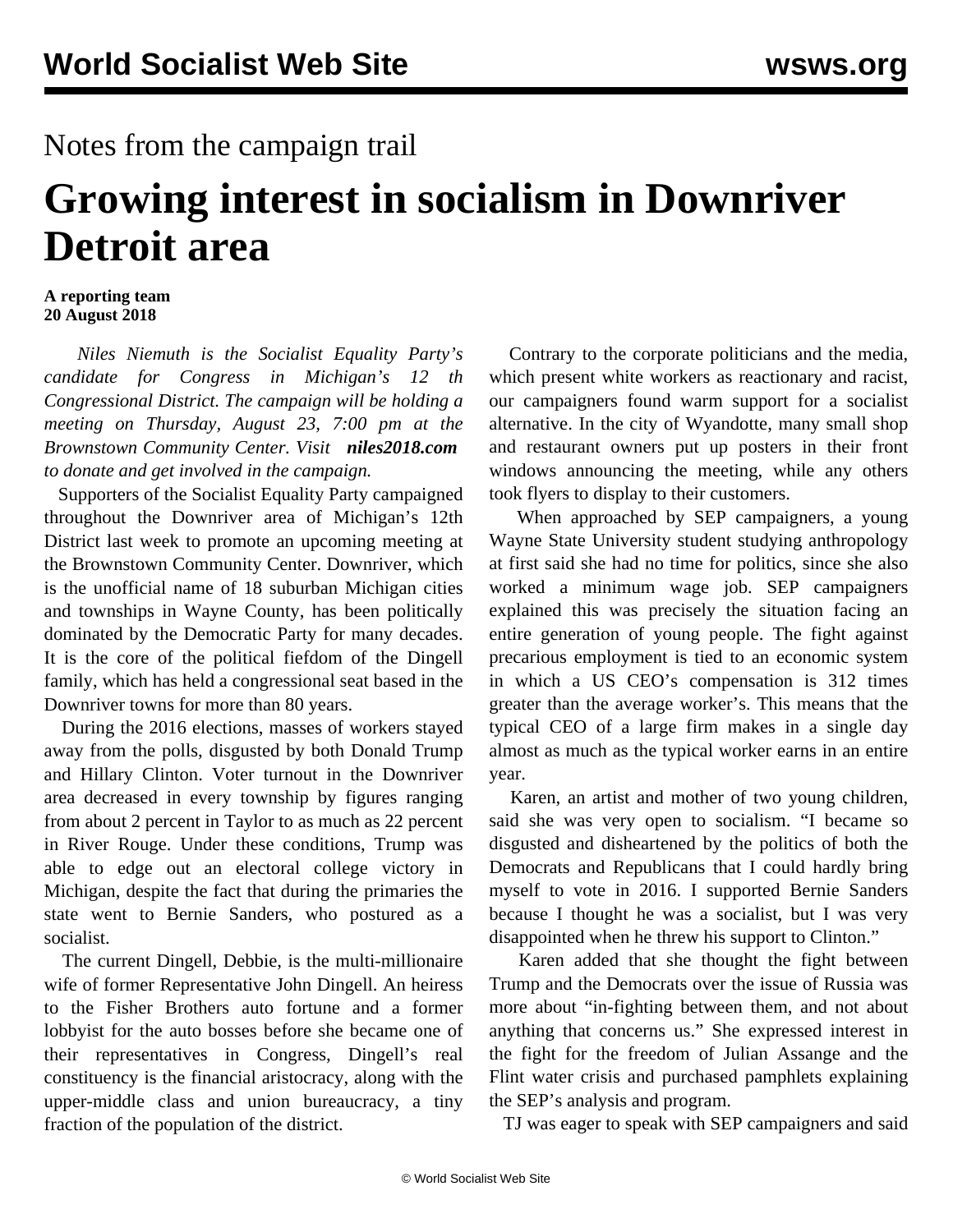## Notes from the campaign trail

## **Growing interest in socialism in Downriver Detroit area**

## **A reporting team 20 August 2018**

 *Niles Niemuth is the Socialist Equality Party's candidate for Congress in Michigan's 12 th Congressional District. The campaign will be holding a meeting on Thursday, August 23, 7:00 pm at the Brownstown Community Center. Visit [niles2018.com](https://www.niles2018.com/) to donate and get involved in the campaign.*

 Supporters of the Socialist Equality Party campaigned throughout the Downriver area of Michigan's 12th District last week to promote an upcoming meeting at the Brownstown Community Center. Downriver, which is the unofficial name of 18 suburban Michigan cities and townships in Wayne County, has been politically dominated by the Democratic Party for many decades. It is the core of the political fiefdom of the Dingell family, which has held a congressional seat based in the Downriver towns for more than 80 years.

 During the 2016 elections, masses of workers stayed away from the polls, disgusted by both Donald Trump and Hillary Clinton. Voter turnout in the Downriver area decreased in every township by figures ranging from about 2 percent in Taylor to as much as 22 percent in River Rouge. Under these conditions, Trump was able to edge out an electoral college victory in Michigan, despite the fact that during the primaries the state went to Bernie Sanders, who postured as a socialist.

 The current Dingell, Debbie, is the multi-millionaire wife of former Representative John Dingell. An heiress to the Fisher Brothers auto fortune and a former lobbyist for the auto bosses before she became one of their representatives in Congress, Dingell's real constituency is the financial aristocracy, along with the upper-middle class and union bureaucracy, a tiny fraction of the population of the district.

 Contrary to the corporate politicians and the media, which present white workers as reactionary and racist, our campaigners found warm support for a socialist alternative. In the city of Wyandotte, many small shop and restaurant owners put up posters in their front windows announcing the meeting, while any others took flyers to display to their customers.

 When approached by SEP campaigners, a young Wayne State University student studying anthropology at first said she had no time for politics, since she also worked a minimum wage job. SEP campaigners explained this was precisely the situation facing an entire generation of young people. The fight against precarious employment is tied to an economic system in which a US CEO's compensation is 312 times greater than the average worker's. This means that the typical CEO of a large firm makes in a single day almost as much as the typical worker earns in an entire year.

 Karen, an artist and mother of two young children, said she was very open to socialism. "I became so disgusted and disheartened by the politics of both the Democrats and Republicans that I could hardly bring myself to vote in 2016. I supported Bernie Sanders because I thought he was a socialist, but I was very disappointed when he threw his support to Clinton."

 Karen added that she thought the fight between Trump and the Democrats over the issue of Russia was more about "in-fighting between them, and not about anything that concerns us." She expressed interest in the fight for the freedom of Julian Assange and the Flint water crisis and purchased pamphlets explaining the SEP's analysis and program.

TJ was eager to speak with SEP campaigners and said